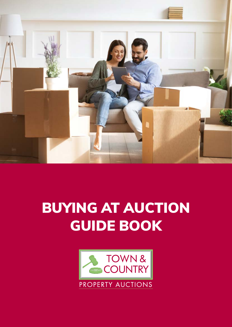

# BUYING AT AUCTION GUIDE BOOK

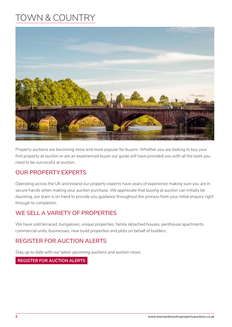## TOWN & COUNTRY



Property auctions are becoming more and more popular for buyers. Whether you are looking to buy your first property at auction or are an experienced buyer our guide will have provided you with all the tools you need to be successful at auction.

## **OUR PROPERTY EXPERTS**

Operating across the UK and Ireland our property experts have years of experience making sure you are in secure hands when making your auction purchase. We appreciate that buying at auction can initially be daunting, our team is on hand to provide you guidance throughout the process from your initial enquiry right through to completion.

## **WE SELL A VARIETY OF PROPERTIES**

We have sold terraced, bungalows, unique properties, family detached houses, penthouse apartments, commercial units, businesses, new build properties and plots on behalf of builders.

## **REGISTER FOR AUCTION ALERTS**

Stay up to date with our latest upcoming auctions and auction news.

#### **REGISTER FOR AUCTION ALERTS**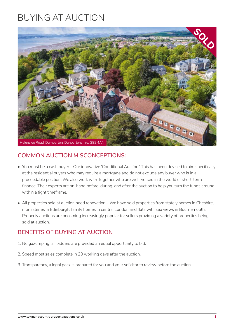## BUYING AT AUCTION



## **COMMON AUCTION MISCONCEPTIONS:**

- You must be a cash buyer Our innovative 'Conditional Auction.' This has been devised to aim specifically at the residential buyers who may require a mortgage and do not exclude any buyer who is in a proceedable position. We also work with Together who are well-versed in the world of short-term finance. Their experts are on-hand before, during, and after the auction to help you turn the funds around within a tight timeframe.
- All properties sold at auction need renovation We have sold properties from stately homes in Cheshire, monasteries in Edinburgh, family homes in central London and flats with sea views in Bournemouth. Property auctions are becoming increasingly popular for sellers providing a variety of properties being sold at auction.

### **BENEFITS OF BUYING AT AUCTION**

- 1. No gazumping, all bidders are provided an equal opportunity to bid.
- 2. Speed most sales complete in 20 working days after the auction.
- 3. Transparency, a legal pack is prepared for you and your solicitor to review before the auction.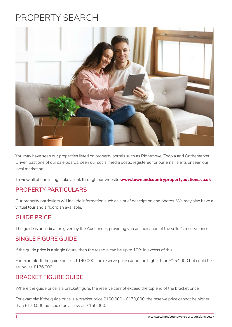## PROPERTY SEARCH



You may have seen our properties listed on property portals such as Rightmove, Zoopla and Onthemarket. Driven past one of our sale boards, seen our social media posts, registered for our email alerts or seen our local marketing.

To view all of our listings take a look through our website **www.townandcountrypropertyauctions.co.uk**

## **PROPERTY PARTICULARS**

Our property particulars will include information such as a brief description and photos. We may also have a virtual tour and a floorplan available.

### **GUIDE PRICE**

The guide is an indication given by the Auctioneer, providing you an indication of the seller's reserve price.

### **SINGLE FIGURE GUIDE**

If the guide price is a single figure, then the reserve can be up to 10% in excess of this.

For example: If the guide price is £140,000, the reserve price cannot be higher than £154,000 but could be as low as £126,000.

## **BRACKET FIGURE GUIDE**

Where the guide price is a bracket figure, the reserve cannot exceed the top end of the bracket price.

For example: If the guide price is a bracket price £160,000 - £170,000, the reserve price cannot be higher than £170,000 but could be as low as £160,000.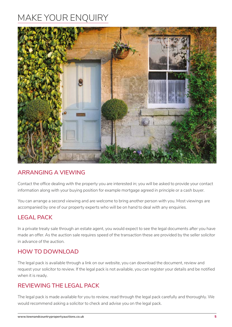## MAKE YOUR ENQUIRY



## **ARRANGING A VIEWING**

Contact the office dealing with the property you are interested in; you will be asked to provide your contact information along with your buying position for example mortgage agreed in principle or a cash buyer.

You can arrange a second viewing and are welcome to bring another person with you. Most viewings are accompanied by one of our property experts who will be on hand to deal with any enquiries.

## **LEGAL PACK**

In a private treaty sale through an estate agent, you would expect to see the legal documents after you have made an offer. As the auction sale requires speed of the transaction these are provided by the seller solicitor in advance of the auction.

## **HOW TO DOWNLOAD**

The legal pack is available through a link on our website, you can download the document, review and request your solicitor to review. If the legal pack is not available, you can register your details and be notified when it is ready.

## **REVIEWING THE LEGAL PACK**

The legal pack is made available for you to review, read through the legal pack carefully and thoroughly. We would recommend asking a solicitor to check and advise you on the legal pack.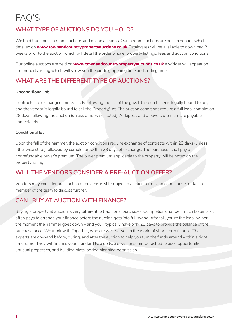## FAQ'S

## **WHAT TYPE OF AUCTIONS DO YOU HOLD?**

We hold traditional in room auctions and online auctions. Our in room auctions are held in venues which is detailed on **www.townandcountrypropertyauctions.co.uk** Catalogues will be available to download 2 weeks prior to the auction which will detail the order of sale, property listings, fees and auction conditions.

Our online auctions are held on **www.townandcountrypropertyauctions.co.uk** a widget will appear on the property listing which will show you the bidding opening time and ending time.

## **WHAT ARE THE DIFFERENT TYPE OF AUCTIONS?**

#### **Unconditional lot**

Contracts are exchanged immediately following the fall of the gavel, the purchaser is legally bound to buy and the vendor is legally bound to sell the Property/Lot. The auction conditions require a full legal completion 28 days following the auction (unless otherwise stated). A deposit and a buyers premium are payable immediately.

#### **Conditional lot**

Upon the fall of the hammer, the auction conditions require exchange of contracts within 28 days (unless otherwise state) followed by completion within 28 days of exchange. The purchaser shall pay a nonrefundable buyer's premium. The buyer premium applicable to the property will be noted on the property listing.

## **WILL THE VENDORS CONSIDER A PRE-AUCTION OFFER?**

Vendors may consider pre-auction offers, this is still subject to auction terms and conditions. Contact a member of the team to discuss further.

## **CAN I BUY AT AUCTION WITH FINANCE?**

Buying a property at auction is very different to traditional purchases. Completions happen much faster, so it often pays to arrange your finance before the auction gets into full swing. After all, you're the legal owner the moment the hammer goes down – and you'll typically have only 28 days to provide the balance of the purchase price. We work with Together, who are well-versed in the world of short-term finance. Their experts are on-hand before, during, and after the auction to help you turn the funds around within a tight timeframe. They will finance your standard two up two down or semi- detached to used opportunities, unusual properties, and building plots lacking planning permission.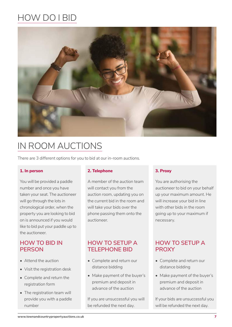## HOW DO I BID



## IN ROOM AUCTIONS

There are 3 different options for you to bid at our in-room auctions.

#### **1. In person**

You will be provided a paddle number and once you have taken your seat. The auctioneer will go through the lots in chronological order, when the property you are looking to bid on is announced if you would like to bid put your paddle up to the auctioneer.

### **HOW TO BID IN PERSON**

- Attend the auction
- Visit the registration desk
- Complete and return the registration form
- The registration team will provide you with a paddle number

#### **2. Telephone**

A member of the auction team will contact you from the auction room, updating you on the current bid in the room and will take your bids over the phone passing them onto the auctioneer.

### **HOW TO SETUP A TELEPHONE BID**

- Complete and return our distance bidding
- Make payment of the buyer's premium and deposit in advance of the auction

If you are unsuccessful you will be refunded the next day.

#### **3. Proxy**

You are authorising the auctioneer to bid on your behalf up your maximum amount. He will increase your bid in line with other bids in the room going up to your maximum if necessary.

## **HOW TO SETUP A PROXY**

- Complete and return our distance bidding
- Make payment of the buyer's premium and deposit in advance of the auction

If your bids are unsuccessful you will be refunded the next day.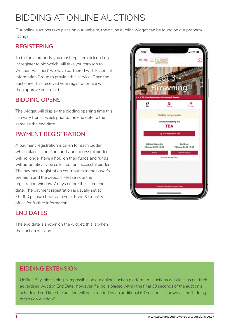## BIDDING AT ONLINE AUCTIONS

Our online auctions take place on our website, the online auction widget can be found on our property listings.

## **REGISTERING**

To bid on a property you must register, click on Log in/ register to bid which will take you through to 'Auction Passport' we have partnered with Essential Information Group to provide this service. Once the auctioneer has received your registration we will then approve you to bid.

## **BIDDING OPENS**

The widget will display the bidding opening time this can vary from 1 week prior to the end date to the same as the end date.

## **PAYMENT REGISTRATION**

A payment registration is taken for each bidder which places a hold on funds, unsuccessful bidders will no longer have a hold on their funds and funds will automatically be collected for successful bidders. The payment registration contributes to the buyer's premium and the deposit. Please note the registration window 7 days before the listed end date. The payment registration is usually set at £6,000 please check with your Town & Country office for further information.

## **END DATES**

The end date is shown on the widget, this is when the auction will end.



## **BIDDING EXTENSION**

Unlike eBay, bid sniping is impossible on our online auction platform. All auctions will close as per their advertised 'Auction End Date', however if a bid is placed within the final 60 seconds of the auction's scheduled end time the auction will be extended by an additional 60 seconds – known as the 'bidding extension window'.